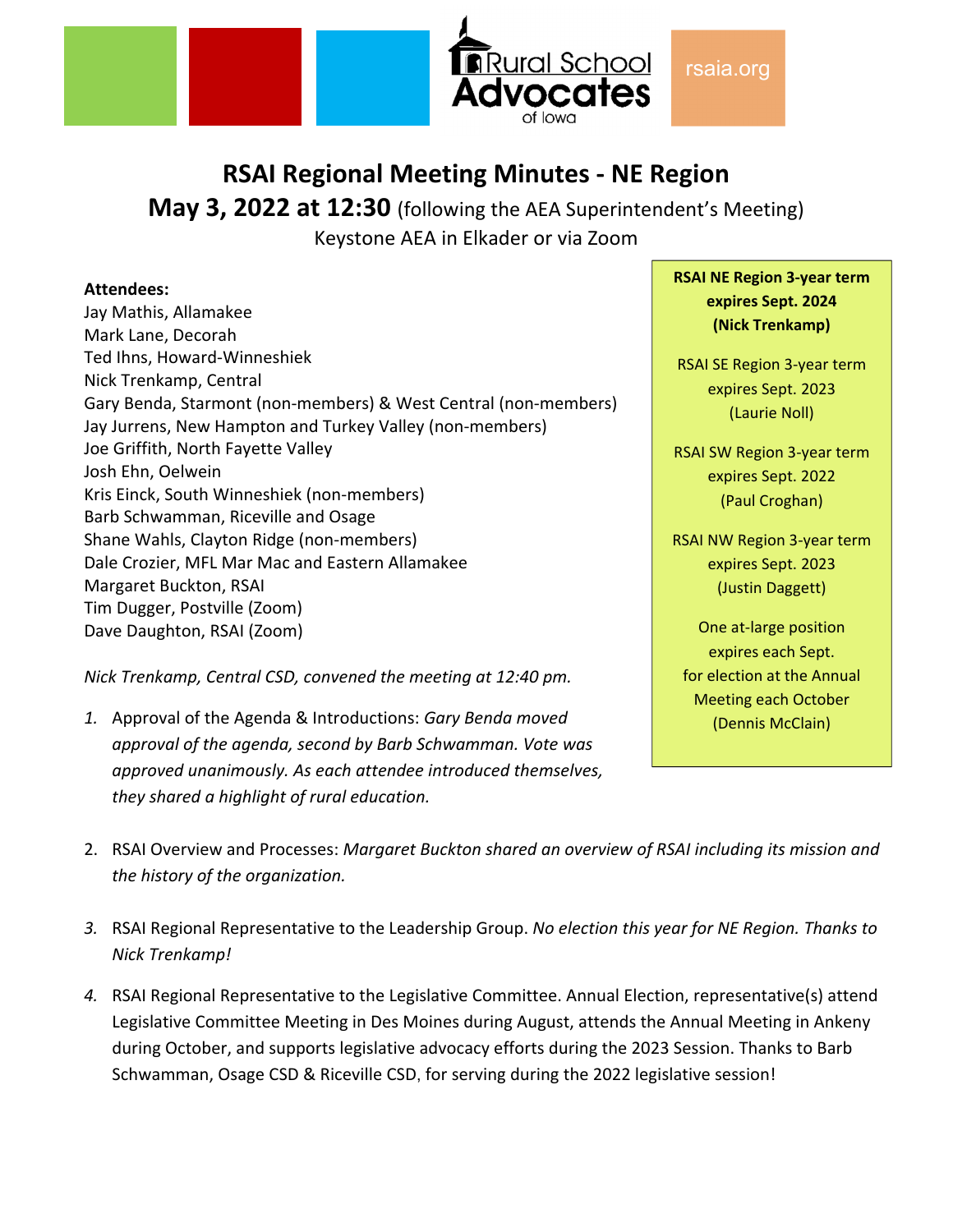

# **RSAI Regional Meeting Minutes ‐ NE Region**

**May 3, 2022 at 12:30** (following the AEA Superintendent's Meeting) Keystone AEA in Elkader or via Zoom

#### **Attendees:**

Jay Mathis, Allamakee Mark Lane, Decorah Ted Ihns, Howard‐Winneshiek Nick Trenkamp, Central Gary Benda, Starmont (non‐members) & West Central (non‐members) Jay Jurrens, New Hampton and Turkey Valley (non‐members) Joe Griffith, North Fayette Valley Josh Ehn, Oelwein Kris Einck, South Winneshiek (non‐members) Barb Schwamman, Riceville and Osage Shane Wahls, Clayton Ridge (non‐members) Dale Crozier, MFL Mar Mac and Eastern Allamakee Margaret Buckton, RSAI Tim Dugger, Postville (Zoom) Dave Daughton, RSAI (Zoom)

*Nick Trenkamp, Central CSD, convened the meeting at 12:40 pm.* 

*1.* Approval of the Agenda & Introductions: *Gary Benda moved approval of the agenda, second by Barb Schwamman. Vote was approved unanimously. As each attendee introduced themselves, they shared a highlight of rural education.*

**RSAI NE Region 3‐year term expires Sept. 2024 (Nick Trenkamp)**

RSAI SE Region 3‐year term expires Sept. 2023 (Laurie Noll)

RSAI SW Region 3‐year term expires Sept. 2022 (Paul Croghan)

RSAI NW Region 3‐year term expires Sept. 2023 (Justin Daggett)

One at‐large position expires each Sept. for election at the Annual Meeting each October (Dennis McClain)

- 2. RSAI Overview and Processes: *Margaret Buckton shared an overview of RSAI including its mission and the history of the organization.*
- *3.* RSAI Regional Representative to the Leadership Group. *No election this year for NE Region. Thanks to Nick Trenkamp!*
- *4.* RSAI Regional Representative to the Legislative Committee. Annual Election, representative(s) attend Legislative Committee Meeting in Des Moines during August, attends the Annual Meeting in Ankeny during October, and supports legislative advocacy efforts during the 2023 Session. Thanks to Barb Schwamman, Osage CSD & Riceville CSD, for serving during the 2022 legislative session!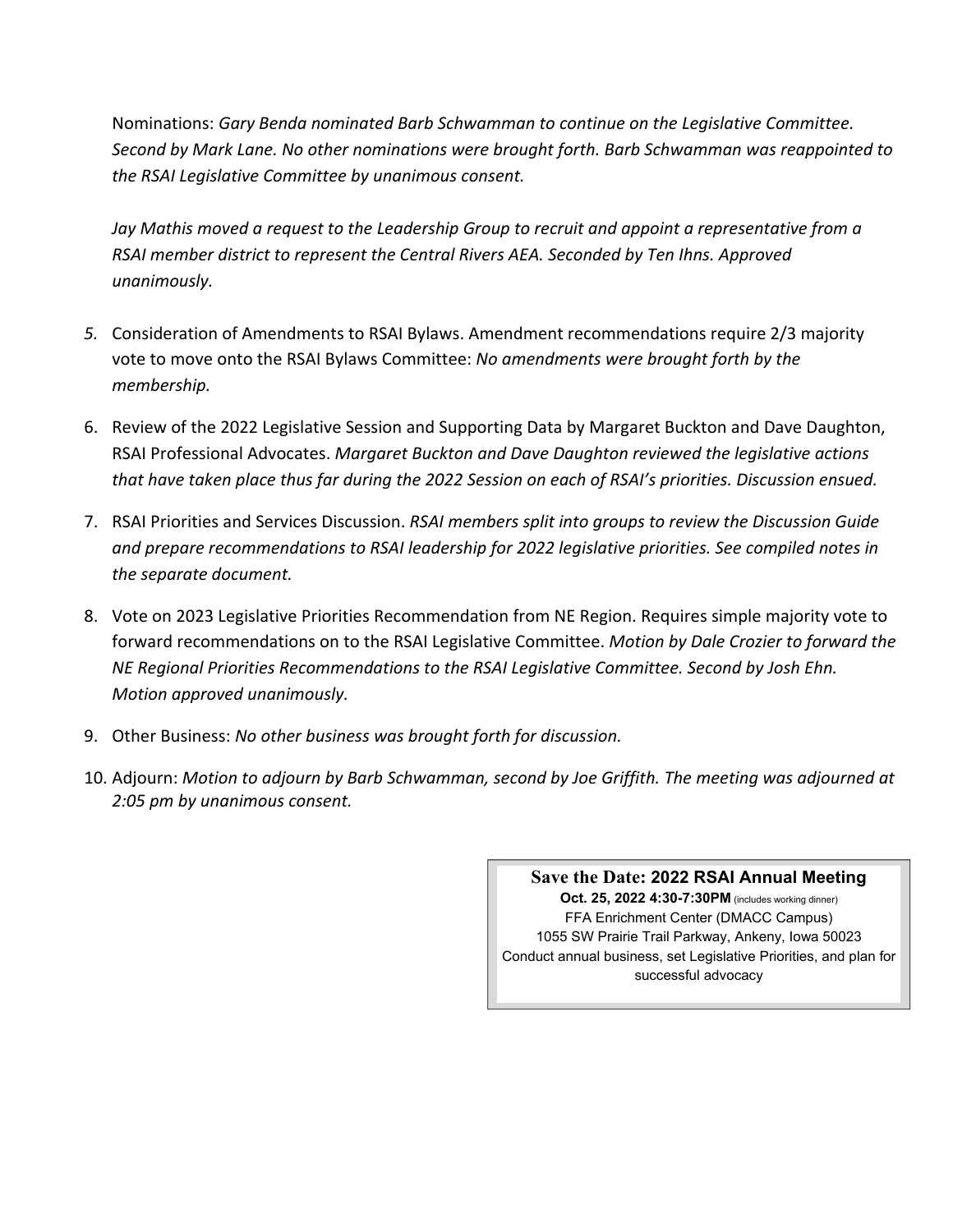Nominations: *Gary Benda nominated Barb Schwamman to continue on the Legislative Committee. Second by Mark Lane. No other nominations were brought forth. Barb Schwamman was reappointed to the RSAI Legislative Committee by unanimous consent.*

*Jay Mathis moved a request to the Leadership Group to recruit and appoint a representative from a RSAI member district to represent the Central Rivers AEA. Seconded by Ten Ihns. Approved unanimously.*

- *5.* Consideration of Amendments to RSAI Bylaws. Amendment recommendations require 2/3 majority vote to move onto the RSAI Bylaws Committee: *No amendments were brought forth by the membership.*
- 6. Review of the 2022 Legislative Session and Supporting Data by Margaret Buckton and Dave Daughton, RSAI Professional Advocates. *Margaret Buckton and Dave Daughton reviewed the legislative actions that have taken place thus far during the 2022 Session on each of RSAI's priorities. Discussion ensued.*
- 7. RSAI Priorities and Services Discussion. *RSAI members split into groups to review the Discussion Guide and prepare recommendations to RSAI leadership for 2022 legislative priorities. See compiled notes in the separate document.*
- 8. Vote on 2023 Legislative Priorities Recommendation from NE Region. Requires simple majority vote to forward recommendations on to the RSAI Legislative Committee. *Motion by Dale Crozier to forward the NE Regional Priorities Recommendations to the RSAI Legislative Committee. Second by Josh Ehn. Motion approved unanimously.*
- 9. Other Business: *No other business was brought forth for discussion.*
- 10. Adjourn: *Motion to adjourn by Barb Schwamman, second by Joe Griffith. The meeting was adjourned at 2:05 pm by unanimous consent.*

#### **Save the Date: 2022 RSAI Annual Meeting**

**Oct. 25, 2022 4:30-7:30PM** (includes working dinner) FFA Enrichment Center (DMACC Campus) 1055 SW Prairie Trail Parkway, Ankeny, Iowa 50023 Conduct annual business, set Legislative Priorities, and plan for successful advocacy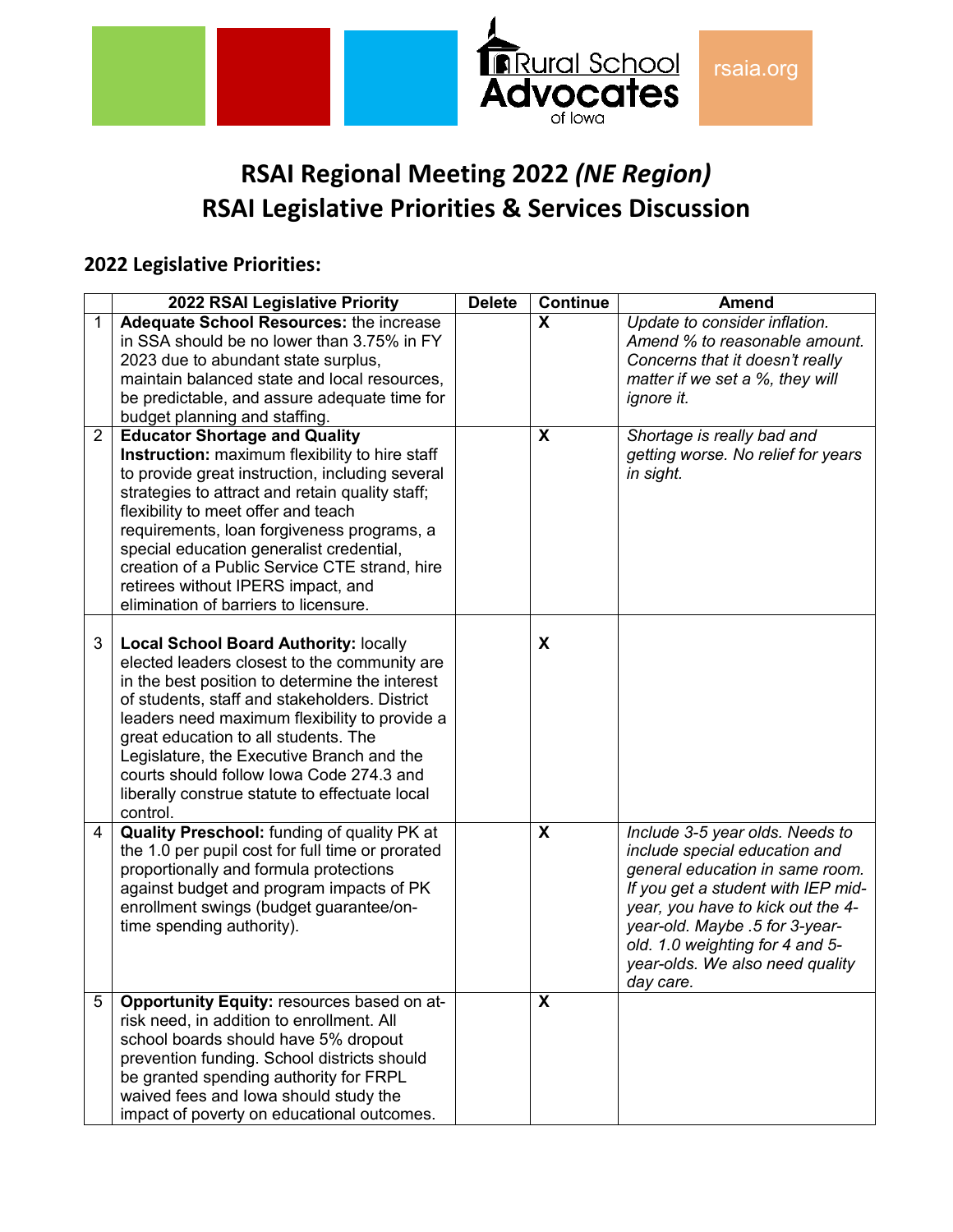

# **RSAI Regional Meeting 2022** *(NE Region)* **RSAI Legislative Priorities & Services Discussion**

## **2022 Legislative Priorities:**

|                | 2022 RSAI Legislative Priority                   | <b>Delete</b> | <b>Continue</b> | <b>Amend</b>                       |
|----------------|--------------------------------------------------|---------------|-----------------|------------------------------------|
| 1              | <b>Adequate School Resources: the increase</b>   |               | X               | Update to consider inflation.      |
|                | in SSA should be no lower than 3.75% in FY       |               |                 | Amend % to reasonable amount.      |
|                | 2023 due to abundant state surplus,              |               |                 | Concerns that it doesn't really    |
|                | maintain balanced state and local resources,     |               |                 | matter if we set a %, they will    |
|                | be predictable, and assure adequate time for     |               |                 | ignore it.                         |
|                | budget planning and staffing.                    |               |                 |                                    |
| $\overline{2}$ | <b>Educator Shortage and Quality</b>             |               | X               | Shortage is really bad and         |
|                | Instruction: maximum flexibility to hire staff   |               |                 | getting worse. No relief for years |
|                | to provide great instruction, including several  |               |                 | in sight.                          |
|                | strategies to attract and retain quality staff;  |               |                 |                                    |
|                | flexibility to meet offer and teach              |               |                 |                                    |
|                | requirements, loan forgiveness programs, a       |               |                 |                                    |
|                | special education generalist credential,         |               |                 |                                    |
|                | creation of a Public Service CTE strand, hire    |               |                 |                                    |
|                | retirees without IPERS impact, and               |               |                 |                                    |
|                | elimination of barriers to licensure.            |               |                 |                                    |
|                |                                                  |               |                 |                                    |
| 3              | <b>Local School Board Authority: locally</b>     |               | X               |                                    |
|                | elected leaders closest to the community are     |               |                 |                                    |
|                | in the best position to determine the interest   |               |                 |                                    |
|                | of students, staff and stakeholders. District    |               |                 |                                    |
|                | leaders need maximum flexibility to provide a    |               |                 |                                    |
|                | great education to all students. The             |               |                 |                                    |
|                | Legislature, the Executive Branch and the        |               |                 |                                    |
|                | courts should follow lowa Code 274.3 and         |               |                 |                                    |
|                | liberally construe statute to effectuate local   |               |                 |                                    |
|                | control.                                         |               |                 |                                    |
| 4              | Quality Preschool: funding of quality PK at      |               | X               | Include 3-5 year olds. Needs to    |
|                | the 1.0 per pupil cost for full time or prorated |               |                 | include special education and      |
|                | proportionally and formula protections           |               |                 | general education in same room.    |
|                | against budget and program impacts of PK         |               |                 | If you get a student with IEP mid- |
|                | enrollment swings (budget guarantee/on-          |               |                 | year, you have to kick out the 4-  |
|                | time spending authority).                        |               |                 | year-old. Maybe .5 for 3-year-     |
|                |                                                  |               |                 | old. 1.0 weighting for 4 and 5-    |
|                |                                                  |               |                 | year-olds. We also need quality    |
|                |                                                  |               |                 | day care.                          |
| 5              | Opportunity Equity: resources based on at-       |               | X               |                                    |
|                | risk need, in addition to enrollment. All        |               |                 |                                    |
|                | school boards should have 5% dropout             |               |                 |                                    |
|                | prevention funding. School districts should      |               |                 |                                    |
|                | be granted spending authority for FRPL           |               |                 |                                    |
|                | waived fees and lowa should study the            |               |                 |                                    |
|                | impact of poverty on educational outcomes.       |               |                 |                                    |